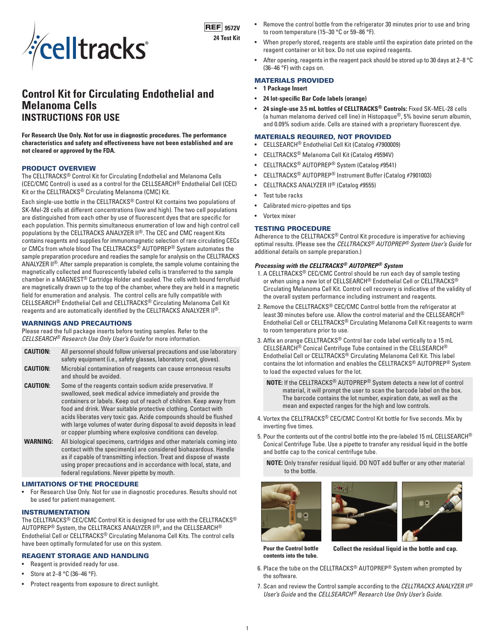

**9572V 24 Test Kit**

# **Control Kit for Circulating Endothelial and Melanoma Cells INSTRUCTIONS FOR USE**

**For Research Use Only. Not for use in diagnostic procedures. The performance characteristics and safety and effectiveness have not been established and are not cleared or approved by the FDA.**

## PRODUCT OVERVIEW

The CELLTRACKS® Control Kit for Circulating Endothelial and Melanoma Cells (CEC/CMC Control) is used as a control for the CELLSEARCH® Endothelial Cell (CEC) Kit or the CELLTRACKS® Circulating Melanoma (CMC) Kit.

Each single-use bottle in the CELLTRACKS® Control Kit contains two populations of SK-Mel-28 cells at different concentrations (low and high). The two cell populations are distinguished from each other by use of fluorescent dyes that are specific for each population. This permits simultaneous enumeration of low and high control cell populations by the CELLTRACKS ANALYZER II®. The CEC and CMC reagent Kits contains reagents and supplies for immunomagnetic selection of rare circulating CECs or CMCs from whole blood The CELLTRACKS® AUTOPREP® System automates the sample preparation procedure and readies the sample for analysis on the CELLTRACKS ANALYZER II®. After sample preparation is complete, the sample volume containing the magnetically collected and fluorescently labeled cells is transferred to the sample chamber in a MAGNEST® Cartridge Holder and sealed. The cells with bound ferrofluid are magnetically drawn up to the top of the chamber, where they are held in a magnetic field for enumeration and analysis. The control cells are fully compatible with CELLSEARCH® Endothelial Cell and CELLTRACKS® Circulating Melanoma Cell Kit reagents and are automatically identified by the CELLTRACKS ANALYZER II®.

# WARNINGS AND PRECAUTIONS

and should be avoided.

Please read the full package inserts before testing samples. Refer to the *CELLSEARCH® Research Use Only User's Guide* for more information.

| <b>CAUTION:</b> | All personnel should follow universal precautions and use laboratory<br>safety equipment (i.e., safety glasses, laboratory coat, gloves). |  |  |
|-----------------|-------------------------------------------------------------------------------------------------------------------------------------------|--|--|
|                 |                                                                                                                                           |  |  |
| <b>CAUTION:</b> | Microbial contamination of reagents can cause erroneous results                                                                           |  |  |

- **CAUTION:** Some of the reagents contain sodium azide preservative. If swallowed, seek medical advice immediately and provide the containers or labels. Keep out of reach of children. Keep away from food and drink. Wear suitable protective clothing. Contact with acids liberates very toxic gas. Azide compounds should be flushed with large volumes of water during disposal to avoid deposits in lead or copper plumbing where explosive conditions can develop.
- **WARNING:** All biological specimens, cartridges and other materials coming into contact with the specimen(s) are considered biohazardous. Handle as if capable of transmitting infection. Treat and dispose of waste using proper precautions and in accordance with local, state, and federal regulations. Never pipette by mouth.

# LIMITATIONS OF THE PROCEDURE

• For Research Use Only. Not for use in diagnostic procedures. Results should not be used for patient management.

#### INSTRUMENTATION

The CELLTRACKS® CEC/CMC Control Kit is designed for use with the CELLTRACKS® AUTOPREP® System, the CELLTRACKS ANALYZER II®, and the CELLSEARCH® Endothelial Cell or CELLTRACKS® Circulating Melanoma Cell Kits. The control cells have been optimally formulated for use on this system.

# REAGENT STORAGE AND HANDLING

- Reagent is provided ready for use.
- Store at 2-8 °C (36-46 °F).
- Protect reagents from exposure to direct sunlight.
- Remove the control bottle from the refrigerator 30 minutes prior to use and bring to room temperature (15–30 °C or 59–86 °F).
- When properly stored, reagents are stable until the expiration date printed on the reagent container or kit box. Do not use expired reagents.
- After opening, reagents in the reagent pack should be stored up to 30 days at 2–8 °C (36–46 °F) with caps on.

# MATERIALS PROVIDED

- **1 Package Insert**
- **24 lot-specific Bar Code labels (orange)**
- **24 single-use 3.5 mL bottles of CELLTRACKS® Controls:** Fixed SK-MEL-28 cells (a human melanoma derived cell line) in Histopaque®, 5% bovine serum albumin, and 0.09% sodium azide. Cells are stained with a proprietary fluorescent dye.

#### MATERIALS REQUIRED, NOT PROVIDED

- CELLSEARCH® Endothelial Cell Kit (Catalog #7900009)
- CELLTRACKS® Melanoma Cell Kit (Catalog #9594V)
- CELLTRACKS® AUTOPREP® System (Catalog #9541)
- CELLTRACKS® AUTOPREP® Instrument Buffer (Catalog #7901003)
- CELLTRACKS ANALYZER II® (Catalog #9555)
- Test tube racks
- Calibrated micro-pipettes and tips
- Vortex mixer

# TESTING PROCEDURE

Adherence to the CELLTRACKS® Control Kit procedure is imperative for achieving optimal results. (Please see the *CELLTRACKS® AUTOPREP® System User's Guide* for additional details on sample preparation.)

# *Processing with the CELLTRACKS® AUTOPREP® System*

- 1. A CELLTRACKS® CEC/CMC Control should be run each day of sample testing or when using a new lot of CELLSEARCH® Endothelial Cell or CELLTRACKS® Circulating Melanoma Cell Kit. Control cell recovery is indicative of the validity of the overall system performance including instrument and reagents.
- 2. Remove the CELLTRACKS® CEC/CMC Control bottle from the refrigerator at least 30 minutes before use. Allow the control material and the CELLSEARCH® Endothelial Cell or CELLTRACKS® Circulating Melanoma Cell Kit reagents to warm to room temperature prior to use.
- 3. Affix an orange CELLTRACKS® Control bar code label vertically to a 15 mL CELLSEARCH® Conical Centrifuge Tube contained in the CELLSEARCH® Endothelial Cell or CELLTRACKS® Circulating Melanoma Cell Kit. This label contains the lot information and enables the CELLTRACKS® AUTOPREP® System to load the expected values for the lot.
	- **NOTE:** If the CELLTRACKS® AUTOPREP® System detects a new lot of control material, it will prompt the user to scan the barcode label on the box. The barcode contains the lot number, expiration date, as well as the mean and expected ranges for the high and low controls.
- 4. Vortex the CELLTRACKS® CEC/CMC Control Kit bottle for five seconds. Mix by inverting five times.
- 5. Pour the contents out of the control bottle into the pre-labeled 15 mL CELLSEARCH® Conical Centrifuge Tube. Use a pipette to transfer any residual liquid in the bottle and bottle cap to the conical centrifuge tube.
	- **NOTE:** Only transfer residual liquid. DO NOT add buffer or any other material to the bottle.





**Pour the Control bottle contents into the tube.**

**Collect the residual liquid in the bottle and cap.**

- 6. Place the tube on the CELLTRACKS® AUTOPREP® System when prompted by the software.
- 7. Scan and review the Control sample according to the *CELLTRACKS ANALYZER II® User's Guide* and the *CELLSEARCH® Research Use Only User's Guide*.